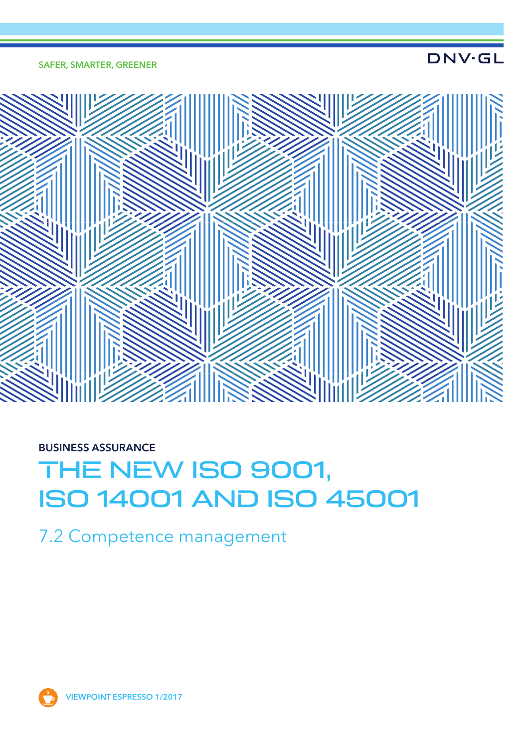#### SAFER, SMARTER, GREENER

**DNV·GL** 



### BUSINESS ASSURANCE

# THE NEW ISO 9001, ISO 14001 AND ISO 45001

7.2 Competence management

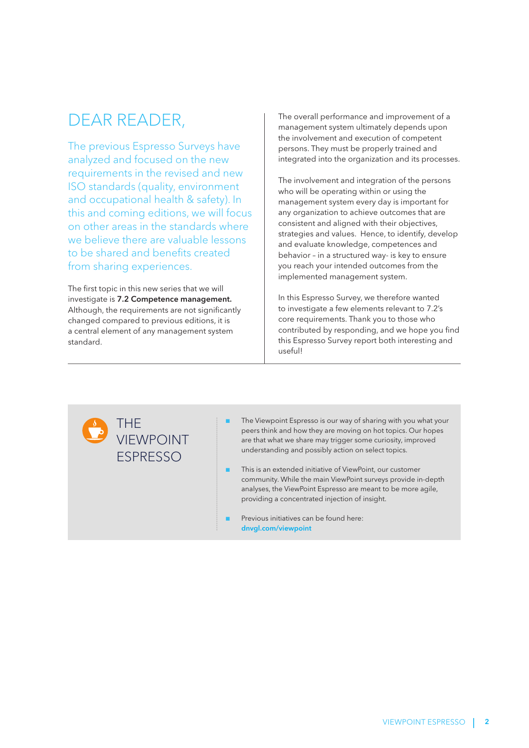## DEAR READER,

The previous Espresso Surveys have analyzed and focused on the new requirements in the revised and new ISO standards (quality, environment and occupational health & safety). In this and coming editions, we will focus on other areas in the standards where we believe there are valuable lessons to be shared and benefits created from sharing experiences.

The first topic in this new series that we will investigate is 7.2 Competence management. Although, the requirements are not significantly changed compared to previous editions, it is a central element of any management system standard.

The overall performance and improvement of a management system ultimately depends upon the involvement and execution of competent persons. They must be properly trained and integrated into the organization and its processes.

The involvement and integration of the persons who will be operating within or using the management system every day is important for any organization to achieve outcomes that are consistent and aligned with their objectives, strategies and values. Hence, to identify, develop and evaluate knowledge, competences and behavior – in a structured way- is key to ensure you reach your intended outcomes from the implemented management system.

In this Espresso Survey, we therefore wanted to investigate a few elements relevant to 7.2's core requirements. Thank you to those who contributed by responding, and we hope you find this Espresso Survey report both interesting and useful!

### THE VIEWPOINT ESPRESSO

- The Viewpoint Espresso is our way of sharing with you what your peers think and how they are moving on hot topics. Our hopes are that what we share may trigger some curiosity, improved understanding and possibly action on select topics.
- This is an extended initiative of ViewPoint, our customer community. While the main ViewPoint surveys provide in-depth analyses, the ViewPoint Espresso are meant to be more agile, providing a concentrated injection of insight.
- Previous initiatives can be found here: dnvgl.com/viewpoint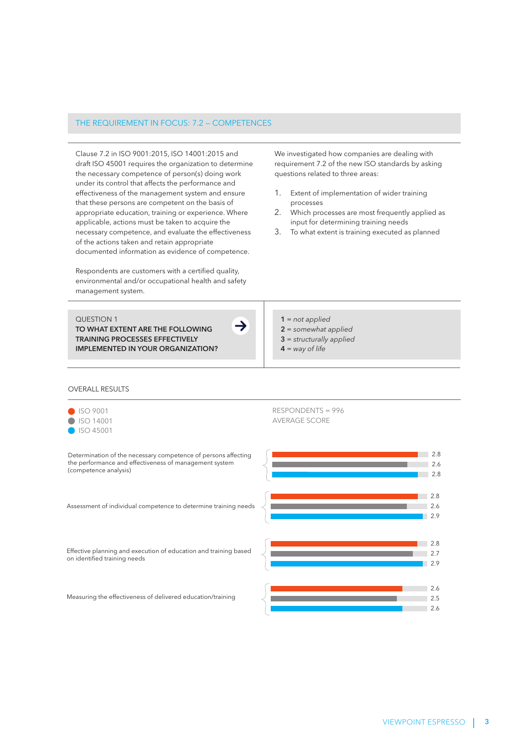#### THE REQUIREMENT IN FOCUS: 7.2 — COMPETENCES

Clause 7.2 in ISO 9001:2015, ISO 14001:2015 and draft ISO 45001 requires the organization to determine the necessary competence of person(s) doing work under its control that affects the performance and effectiveness of the management system and ensure that these persons are competent on the basis of appropriate education, training or experience. Where applicable, actions must be taken to acquire the necessary competence, and evaluate the effectiveness of the actions taken and retain appropriate documented information as evidence of competence.

Respondents are customers with a certified quality, environmental and/or occupational health and safety management system.

 QUESTION 1 TO WHAT EXTENT ARE THE FOLLOWING TRAINING PROCESSES EFFECTIVELY IMPLEMENTED IN YOUR ORGANIZATION? We investigated how companies are dealing with requirement 7.2 of the new ISO standards by asking questions related to three areas:

- 1. Extent of implementation of wider training processes
- 2. Which processes are most frequently applied as input for determining training needs
- 3. To what extent is training executed as planned

<sup>1</sup> = *not applied*

- 2 = *somewhat applied*
- 3 = *structurally applied*
- 4 = *way of life*

#### OVERALL RESULTS

| SO 9001             |
|---------------------|
| <b>8</b> ISO 14001  |
| $\bullet$ ISO 45001 |

RESPONDENTS = 996 AVERAGE SCORE



 $\rightarrow$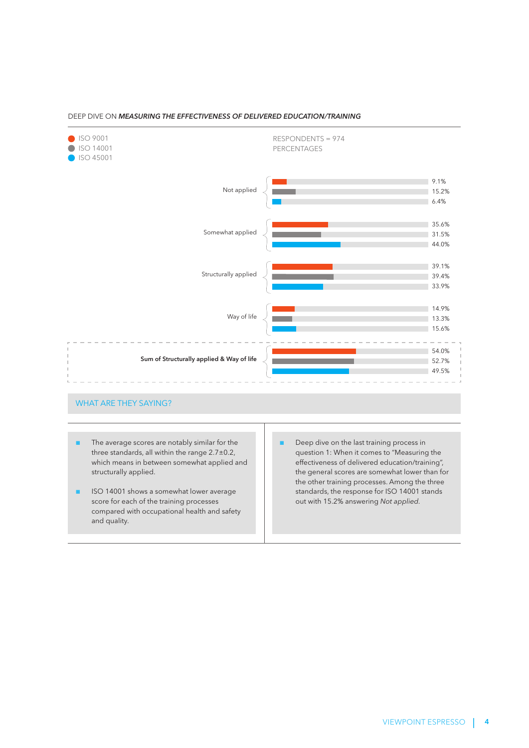

#### DEEP DIVE ON *MEASURING THE EFFECTIVENESS OF DELIVERED EDUCATION/TRAINING*

#### WHAT ARE THEY SAYING?

- The average scores are notably similar for the three standards, all within the range 2.7±0.2, which means in between somewhat applied and structurally applied.
- ISO 14001 shows a somewhat lower average score for each of the training processes compared with occupational health and safety and quality.
- Deep dive on the last training process in question 1: When it comes to "Measuring the effectiveness of delivered education/training", the general scores are somewhat lower than for the other training processes. Among the three standards, the response for ISO 14001 stands out with 15.2% answering *Not applied.*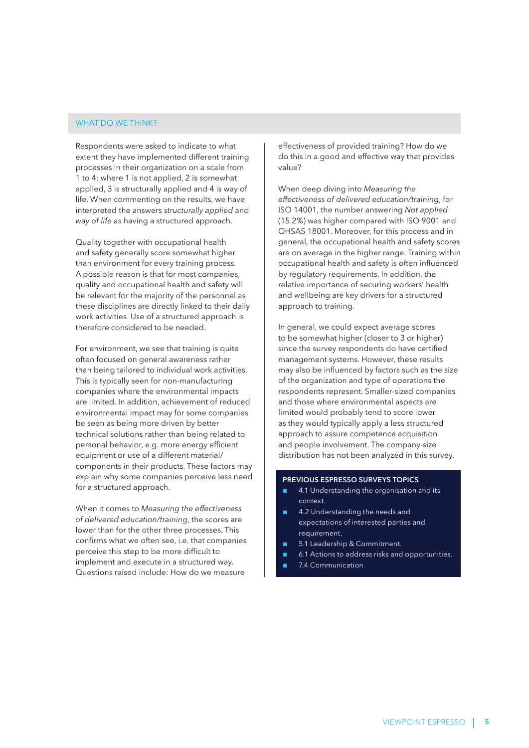#### WHAT DO WE THINK?

Respondents were asked to indicate to what extent they have implemented different training processes in their organization on a scale from 1 to 4: where 1 is not applied, 2 is somewhat applied, 3 is structurally applied and 4 is way of life. When commenting on the results, we have interpreted the answers *structurally applied* and *way of life* as having a structured approach.

Quality together with occupational health and safety generally score somewhat higher than environment for every training process. A possible reason is that for most companies, quality and occupational health and safety will be relevant for the majority of the personnel as these disciplines are directly linked to their daily work activities. Use of a structured approach is therefore considered to be needed.

For environment, we see that training is quite often focused on general awareness rather than being tailored to individual work activities. This is typically seen for non-manufacturing companies where the environmental impacts are limited. In addition, achievement of reduced environmental impact may for some companies be seen as being more driven by better technical solutions rather than being related to personal behavior, e.g. more energy efficient equipment or use of a different material/ components in their products. These factors may explain why some companies perceive less need for a structured approach.

When it comes to *Measuring the effectiveness of delivered education/training*, the scores are lower than for the other three processes. This confirms what we often see, i.e. that companies perceive this step to be more difficult to implement and execute in a structured way. Questions raised include: How do we measure

effectiveness of provided training? How do we do this in a good and effective way that provides value?

When deep diving into *Measuring the effectiveness of delivered education/training*, for ISO 14001, the number answering *Not applied*  (15.2%) was higher compared with ISO 9001 and OHSAS 18001. Moreover, for this process and in general, the occupational health and safety scores are on average in the higher range. Training within occupational health and safety is often influenced by regulatory requirements. In addition, the relative importance of securing workers' health and wellbeing are key drivers for a structured approach to training.

In general, we could expect average scores to be somewhat higher (closer to 3 or higher) since the survey respondents do have certified management systems. However, these results may also be influenced by factors such as the size of the organization and type of operations the respondents represent. Smaller-sized companies and those where environmental aspects are limited would probably tend to score lower as they would typically apply a less structured approach to assure competence acquisition and people involvement. The company-size distribution has not been analyzed in this survey.

#### PREVIOUS ESPRESSO SURVEYS TOPICS

- 4.1 Understanding the organisation and its context.
- 4.2 Understanding the needs and expectations of interested parties and requirement.
- 5.1 Leadership & Commitment.
- 6.1 Actions to address risks and opportunities.
- 7.4 Communication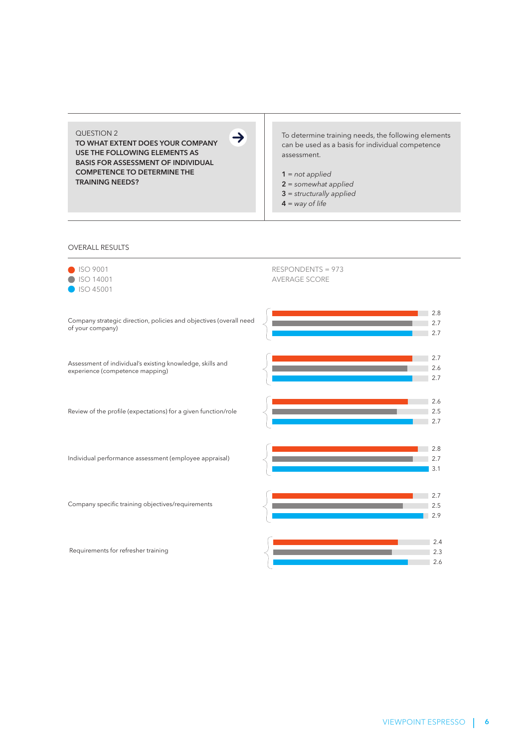QUESTION 2

TO WHAT EXTENT DOES YOUR COMPANY USE THE FOLLOWING ELEMENTS AS BASIS FOR ASSESSMENT OF INDIVIDUAL COMPETENCE TO DETERMINE THE TRAINING NEEDS?

To determine training needs, the following elements can be used as a basis for individual competence assessment.

1 = *not applied* 2 = *somewhat applied*

- 3 = *structurally applied*
- 4 = *way of life*

#### OVERALL RESULTS

| <b>ISO 9001</b><br>SO 14001<br>ISO 45001                                                     | RESPONDENTS = 973<br><b>AVERAGE SCORE</b> |
|----------------------------------------------------------------------------------------------|-------------------------------------------|
| Company strategic direction, policies and objectives (overall need<br>of your company)       | 2.8<br>2.7<br>2.7                         |
| Assessment of individual's existing knowledge, skills and<br>experience (competence mapping) | 2.7<br>2.6<br>2.7                         |
| Review of the profile (expectations) for a given function/role                               | 2.6<br>2.5<br>2.7                         |
| Individual performance assessment (employee appraisal)                                       | 2.8<br>2.7<br>3.1                         |
| Company specific training objectives/requirements                                            | 2.7<br>2.5<br>2.9                         |
| Requirements for refresher training                                                          | 2.4<br>2.3<br>2.6                         |

 $\rightarrow$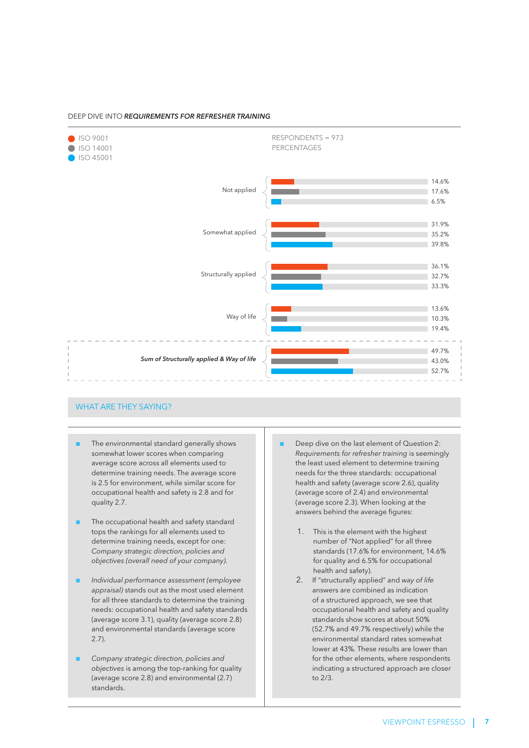#### DEEP DIVE INTO *REQUIREMENTS FOR REFRESHER TRAINING*



#### WHAT ARE THEY SAYING?

- The environmental standard generally shows somewhat lower scores when comparing average score across all elements used to determine training needs. The average score is 2.5 for environment, while similar score for occupational health and safety is 2.8 and for quality 2.7.
- The occupational health and safety standard tops the rankings for all elements used to determine training needs, except for one: *Company strategic direction, policies and objectives (overall need of your company).*
- *Individual performance assessment (employee appraisal)* stands out as the most used element for all three standards to determine the training needs: occupational health and safety standards (average score 3.1), quality (average score 2.8) and environmental standards (average score 2.7).
- *Company strategic direction, policies and objectives* is among the top-ranking for quality (average score 2.8) and environmental (2.7) standards.
- Deep dive on the last element of Question 2: *Requirements for refresher training* is seemingly the least used element to determine training needs for the three standards: occupational health and safety (average score 2.6), quality (average score of 2.4) and environmental (average score 2.3). When looking at the answers behind the average figures:
	- 1. This is the element with the highest number of "Not applied" for all three standards (17.6% for environment, 14.6% for quality and 6.5% for occupational health and safety).
	- 2. If "structurally applied" and *way of life* answers are combined as indication of a structured approach, we see that occupational health and safety and quality standards show scores at about 50% (52.7% and 49.7% respectively) while the environmental standard rates somewhat lower at 43%. These results are lower than for the other elements, where respondents indicating a structured approach are closer to 2/3.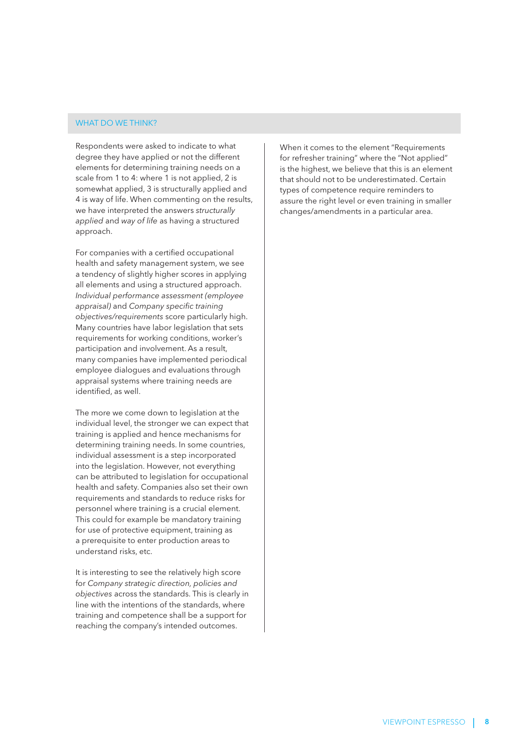#### WHAT DO WE THINK?

Respondents were asked to indicate to what degree they have applied or not the different elements for determining training needs on a scale from 1 to 4: where 1 is not applied, 2 is somewhat applied, 3 is structurally applied and 4 is way of life. When commenting on the results, we have interpreted the answers *structurally applied* and *way of life* as having a structured approach.

For companies with a certified occupational health and safety management system, we see a tendency of slightly higher scores in applying all elements and using a structured approach. *Individual performance assessment (employee appraisal)* and *Company specific training objectives/requirements* score particularly high. Many countries have labor legislation that sets requirements for working conditions, worker's participation and involvement. As a result, many companies have implemented periodical employee dialogues and evaluations through appraisal systems where training needs are identified, as well.

The more we come down to legislation at the individual level, the stronger we can expect that training is applied and hence mechanisms for determining training needs. In some countries, individual assessment is a step incorporated into the legislation. However, not everything can be attributed to legislation for occupational health and safety. Companies also set their own requirements and standards to reduce risks for personnel where training is a crucial element. This could for example be mandatory training for use of protective equipment, training as a prerequisite to enter production areas to understand risks, etc.

It is interesting to see the relatively high score for *Company strategic direction, policies and objectives* across the standards. This is clearly in line with the intentions of the standards, where training and competence shall be a support for reaching the company's intended outcomes.

When it comes to the element "Requirements for refresher training" where the "Not applied" is the highest, we believe that this is an element that should not to be underestimated. Certain types of competence require reminders to assure the right level or even training in smaller changes/amendments in a particular area.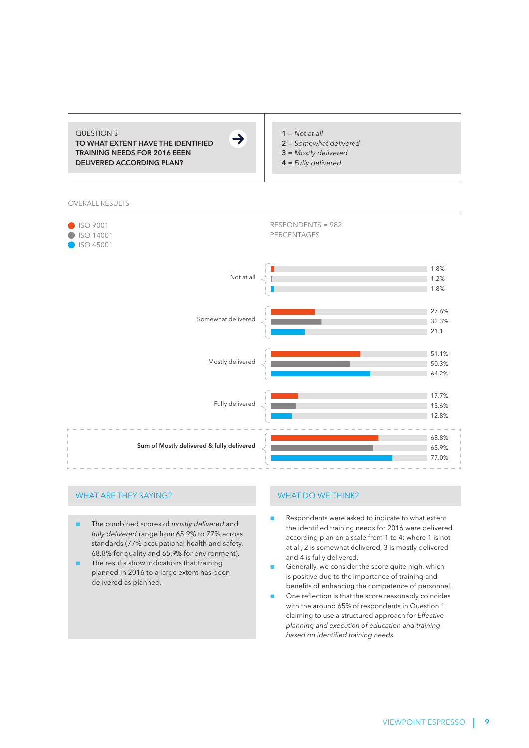#### QUESTION 3 TO WHAT EXTENT HAVE THE IDENTIFIED

TRAINING NEEDS FOR 2016 BEEN DELIVERED ACCORDING PLAN?



#### $1 = Not at all$ 2 = *Somewhat delivered*

- 3 = *Mostly delivered*
- 
- 4 = *Fully delivered*

OVERALL RESULTS



#### WHAT ARE THEY SAYING?

- The combined scores of *mostly delivered* and *fully delivered* range from 65.9% to 77% across standards (77% occupational health and safety, 68.8% for quality and 65.9% for environment).
- The results show indications that training planned in 2016 to a large extent has been delivered as planned.

#### WHAT DO WE THINK?

- Respondents were asked to indicate to what extent the identified training needs for 2016 were delivered according plan on a scale from 1 to 4: where 1 is not at all, 2 is somewhat delivered, 3 is mostly delivered and 4 is fully delivered.
- Generally, we consider the score quite high, which is positive due to the importance of training and benefits of enhancing the competence of personnel.
- One reflection is that the score reasonably coincides with the around 65% of respondents in Question 1 claiming to use a structured approach for *Effective planning and execution of education and training based on identified training needs.*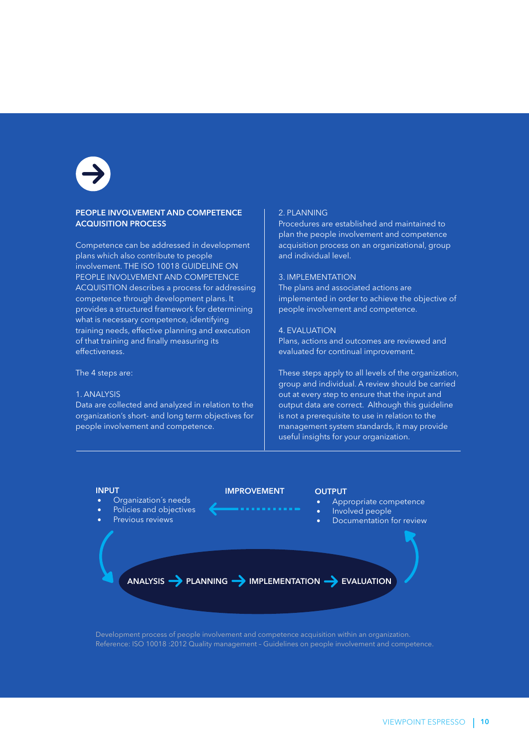#### PEOPLE INVOLVEMENT AND COMPETENCE ACQUISITION PROCESS

Competence can be addressed in development plans which also contribute to people involvement. THE ISO 10018 GUIDELINE ON PEOPLE INVOLVEMENT AND COMPETENCE ACQUISITION describes a process for addressing competence through development plans. It provides a structured framework for determining what is necessary competence, identifying training needs, effective planning and execution of that training and finally measuring its effectiveness.

#### The 4 steps are:

#### 1. ANALYSIS

Data are collected and analyzed in relation to the organization's short- and long term objectives for people involvement and competence.

#### 2. PLANNING

Procedures are established and maintained to plan the people involvement and competence acquisition process on an organizational, group and individual level.

#### 3. IMPLEMENTATION

The plans and associated actions are implemented in order to achieve the objective of people involvement and competence.

#### 4. EVALUATION

Plans, actions and outcomes are reviewed and evaluated for continual improvement.

These steps apply to all levels of the organization, group and individual. A review should be carried out at every step to ensure that the input and output data are correct. Although this guideline is not a prerequisite to use in relation to the management system standards, it may provide useful insights for your organization.



Development process of people involvement and competence acquisition within an organization. Reference: ISO 10018 :2012 Quality management – Guidelines on people involvement and competence.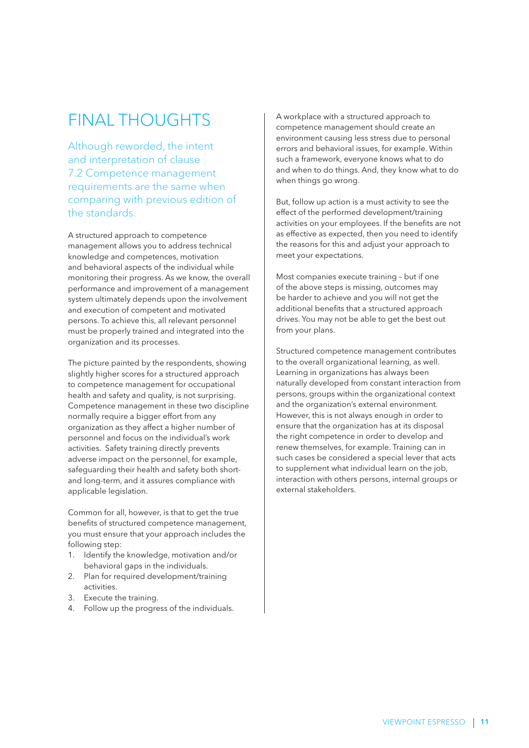## FINAL THOUGHTS

Although reworded, the intent and interpretation of clause 7.2 Competence management requirements are the same when comparing with previous edition of the standards.

A structured approach to competence management allows you to address technical knowledge and competences, motivation and behavioral aspects of the individual while monitoring their progress. As we know, the overall performance and improvement of a management system ultimately depends upon the involvement and execution of competent and motivated persons. To achieve this, all relevant personnel must be properly trained and integrated into the organization and its processes.

The picture painted by the respondents, showing slightly higher scores for a structured approach to competence management for occupational health and safety and quality, is not surprising. Competence management in these two discipline normally require a bigger effort from any organization as they affect a higher number of personnel and focus on the individual's work activities. Safety training directly prevents adverse impact on the personnel, for example, safeguarding their health and safety both shortand long-term, and it assures compliance with applicable legislation.

Common for all, however, is that to get the true benefits of structured competence management, you must ensure that your approach includes the following step:

- 1. Identify the knowledge, motivation and/or behavioral gaps in the individuals.
- 2. Plan for required development/training activities.
- 3. Execute the training.
- 4. Follow up the progress of the individuals.

A workplace with a structured approach to competence management should create an environment causing less stress due to personal errors and behavioral issues, for example. Within such a framework, everyone knows what to do and when to do things. And, they know what to do when things go wrong.

But, follow up action is a must activity to see the effect of the performed development/training activities on your employees. If the benefits are not as effective as expected, then you need to identify the reasons for this and adjust your approach to meet your expectations.

Most companies execute training – but if one of the above steps is missing, outcomes may be harder to achieve and you will not get the additional benefits that a structured approach drives. You may not be able to get the best out from your plans.

Structured competence management contributes to the overall organizational learning, as well. Learning in organizations has always been naturally developed from constant interaction from persons, groups within the organizational context and the organization's external environment. However, this is not always enough in order to ensure that the organization has at its disposal the right competence in order to develop and renew themselves, for example. Training can in such cases be considered a special lever that acts to supplement what individual learn on the job, interaction with others persons, internal groups or external stakeholders.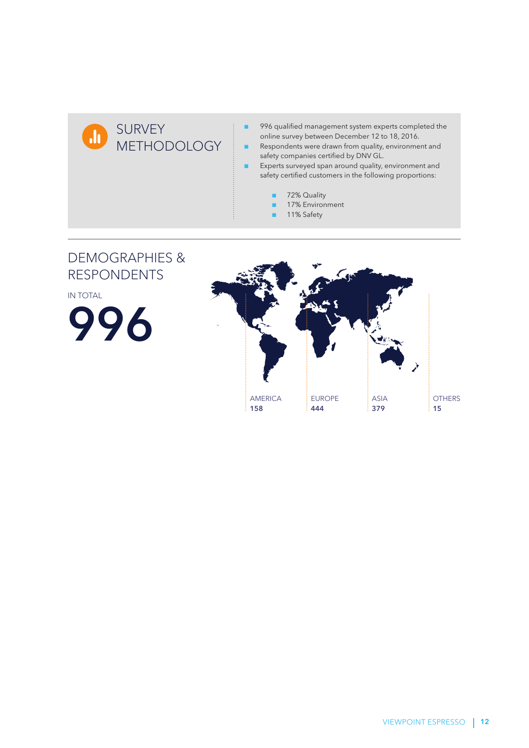

- 996 qualified management system experts completed the online survey between December 12 to 18, 2016.
- Respondents were drawn from quality, environment and safety companies certified by DNV GL.
- Experts surveyed span around quality, environment and safety certified customers in the following proportions:
	- 72% Quality
	- 17% Environment
	- 11% Safety

### DEMOGRAPHIES & RESPONDENTS

IN TOTAL